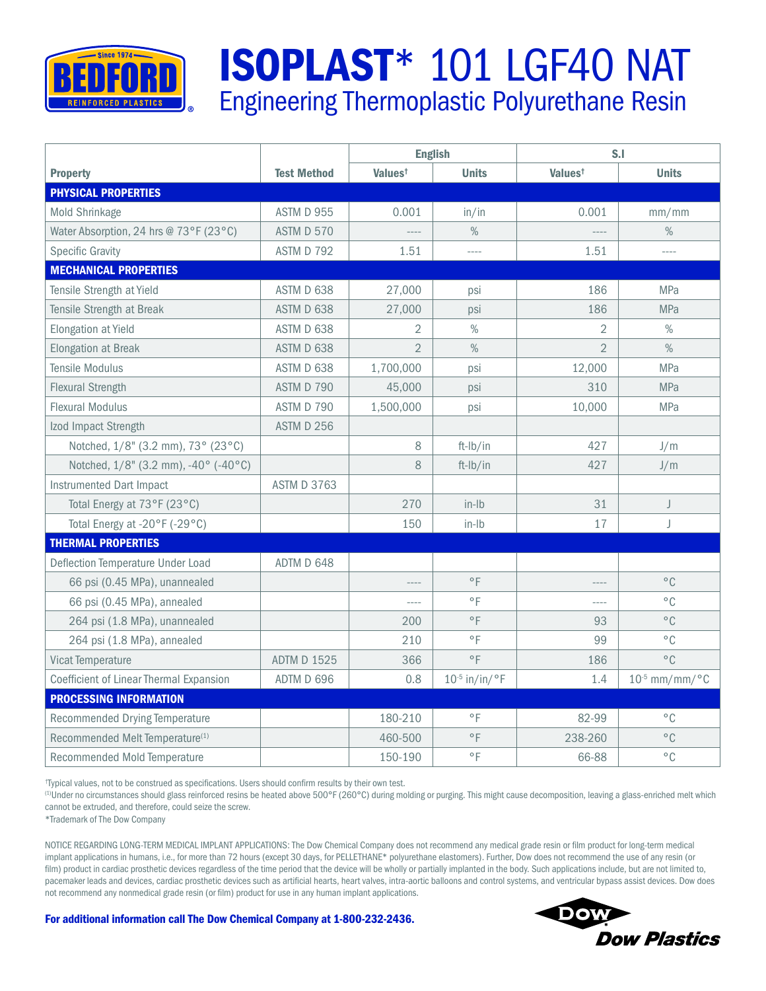

## ISOPLAST\* 101 LGF40 NAT Engineering Thermoplastic Polyurethane Resin

|                                             |                    | <b>English</b>      |                          | S.I                 |                              |  |
|---------------------------------------------|--------------------|---------------------|--------------------------|---------------------|------------------------------|--|
| <b>Property</b>                             | <b>Test Method</b> | Values <sup>t</sup> | <b>Units</b>             | Values <sup>t</sup> | <b>Units</b>                 |  |
| <b>PHYSICAL PROPERTIES</b>                  |                    |                     |                          |                     |                              |  |
| Mold Shrinkage                              | ASTM D 955         | 0.001               | in/in                    | 0.001               | mm/mm                        |  |
| Water Absorption, 24 hrs @ 73°F (23°C)      | <b>ASTM D 570</b>  |                     | $\%$                     | ----                | $\%$                         |  |
| <b>Specific Gravity</b>                     | ASTM D 792         | 1.51                | $\overline{\phantom{a}}$ | 1.51                | $\overline{\phantom{a}}$     |  |
| <b>MECHANICAL PROPERTIES</b>                |                    |                     |                          |                     |                              |  |
| Tensile Strength at Yield                   | ASTM D 638         | 27,000              | psi                      | 186                 | <b>MPa</b>                   |  |
| Tensile Strength at Break                   | ASTM D 638         | 27,000              | psi                      | 186                 | <b>MPa</b>                   |  |
| Elongation at Yield                         | ASTM D 638         | $\overline{2}$      | $\%$                     | 2                   | $\%$                         |  |
| <b>Elongation at Break</b>                  | ASTM D 638         | $\overline{2}$      | $\%$                     | $\overline{2}$      | $\%$                         |  |
| <b>Tensile Modulus</b>                      | ASTM D 638         | 1,700,000           | psi                      | 12,000              | <b>MPa</b>                   |  |
| <b>Flexural Strength</b>                    | ASTM D 790         | 45,000              | psi                      | 310                 | <b>MPa</b>                   |  |
| <b>Flexural Modulus</b>                     | ASTM D 790         | 1,500,000           | psi                      | 10,000              | <b>MPa</b>                   |  |
| Izod Impact Strength                        | <b>ASTM D 256</b>  |                     |                          |                     |                              |  |
| Notched, 1/8" (3.2 mm), 73° (23°C)          |                    | 8                   | ft-Ib/in                 | 427                 | J/m                          |  |
| Notched, 1/8" (3.2 mm), -40° (-40°C)        |                    | 8                   | ft-Ib/in                 | 427                 | J/m                          |  |
| Instrumented Dart Impact                    | <b>ASTM D 3763</b> |                     |                          |                     |                              |  |
| Total Energy at 73°F (23°C)                 |                    | 270                 | $in$ -Ib                 | 31                  | J                            |  |
| Total Energy at -20°F (-29°C)               |                    | 150                 | $in$ -Ib                 | 17                  | J                            |  |
| <b>THERMAL PROPERTIES</b>                   |                    |                     |                          |                     |                              |  |
| Deflection Temperature Under Load           | ADTM D 648         |                     |                          |                     |                              |  |
| 66 psi (0.45 MPa), unannealed               |                    |                     | $\circ$ F                | ----                | $^{\circ}$ C                 |  |
| 66 psi (0.45 MPa), annealed                 |                    |                     | $\circ$ F                | ----                | $^{\circ}$ C                 |  |
| 264 psi (1.8 MPa), unannealed               |                    | 200                 | $\circ$ F                | 93                  | $^{\circ}$ C.                |  |
| 264 psi (1.8 MPa), annealed                 |                    | 210                 | $\circ$ F                | 99                  | $^{\circ}$ C                 |  |
| Vicat Temperature                           | <b>ADTM D 1525</b> | 366                 | $^{\circ}$ F             | 186                 | $^{\circ}$ C                 |  |
| Coefficient of Linear Thermal Expansion     | ADTM D 696         | 0.8                 | $10^{-5}$ in/in/°F       | 1.4                 | $10^{-5}$ mm/mm/ $\degree$ C |  |
| <b>PROCESSING INFORMATION</b>               |                    |                     |                          |                     |                              |  |
| Recommended Drying Temperature              |                    | 180-210             | $\circ$ F                | 82-99               | $^{\circ}$ C                 |  |
| Recommended Melt Temperature <sup>(1)</sup> |                    | 460-500             | $^{\circ}$ F             | 238-260             | $^{\circ}$ C                 |  |
| Recommended Mold Temperature                |                    | 150-190             | $\circ$ F                | 66-88               | $^{\circ}$ C                 |  |

† Typical values, not to be construed as specifications. Users should confirm results by their own test.

(1)Under no circumstances should glass reinforced resins be heated above 500°F (260°C) during molding or purging. This might cause decomposition, leaving a glass-enriched melt which cannot be extruded, and therefore, could seize the screw.

\*Trademark of The Dow Company

NOTICE REGARDING LONG-TERM MEDICAL IMPLANT APPLICATIONS: The Dow Chemical Company does not recommend any medical grade resin or film product for long-term medical implant applications in humans, i.e., for more than 72 hours (except 30 days, for PELLETHANE\* polyurethane elastomers). Further, Dow does not recommend the use of any resin (or film) product in cardiac prosthetic devices regardless of the time period that the device will be wholly or partially implanted in the body. Such applications include, but are not limited to, pacemaker leads and devices, cardiac prosthetic devices such as artificial hearts, heart valves, intra-aortic balloons and control systems, and ventricular bypass assist devices. Dow does not recommend any nonmedical grade resin (or film) product for use in any human implant applications.



For additional information call The Dow Chemical Company at 1-800-232-2436.